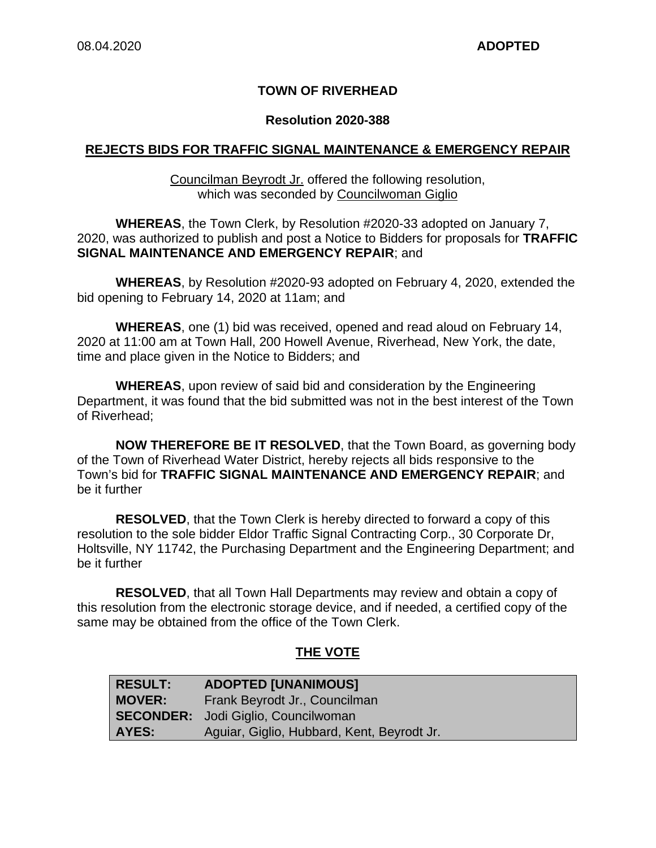### **TOWN OF RIVERHEAD**

#### **Resolution 2020-388**

#### **REJECTS BIDS FOR TRAFFIC SIGNAL MAINTENANCE & EMERGENCY REPAIR**

#### Councilman Beyrodt Jr. offered the following resolution, which was seconded by Councilwoman Giglio

#### **WHEREAS**, the Town Clerk, by Resolution #2020-33 adopted on January 7, 2020, was authorized to publish and post a Notice to Bidders for proposals for **TRAFFIC SIGNAL MAINTENANCE AND EMERGENCY REPAIR**; and

**WHEREAS**, by Resolution #2020-93 adopted on February 4, 2020, extended the bid opening to February 14, 2020 at 11am; and

**WHEREAS**, one (1) bid was received, opened and read aloud on February 14, 2020 at 11:00 am at Town Hall, 200 Howell Avenue, Riverhead, New York, the date, time and place given in the Notice to Bidders; and

**WHEREAS**, upon review of said bid and consideration by the Engineering Department, it was found that the bid submitted was not in the best interest of the Town of Riverhead;

**NOW THEREFORE BE IT RESOLVED**, that the Town Board, as governing body of the Town of Riverhead Water District, hereby rejects all bids responsive to the Town's bid for **TRAFFIC SIGNAL MAINTENANCE AND EMERGENCY REPAIR**; and be it further

**RESOLVED**, that the Town Clerk is hereby directed to forward a copy of this resolution to the sole bidder Eldor Traffic Signal Contracting Corp., 30 Corporate Dr, Holtsville, NY 11742, the Purchasing Department and the Engineering Department; and be it further

**RESOLVED**, that all Town Hall Departments may review and obtain a copy of this resolution from the electronic storage device, and if needed, a certified copy of the same may be obtained from the office of the Town Clerk.

## **THE VOTE**

| <b>RESULT:</b> | <b>ADOPTED [UNANIMOUS]</b>                 |
|----------------|--------------------------------------------|
| <b>MOVER:</b>  | Frank Beyrodt Jr., Councilman              |
|                | <b>SECONDER:</b> Jodi Giglio, Councilwoman |
| AYES:          | Aguiar, Giglio, Hubbard, Kent, Beyrodt Jr. |